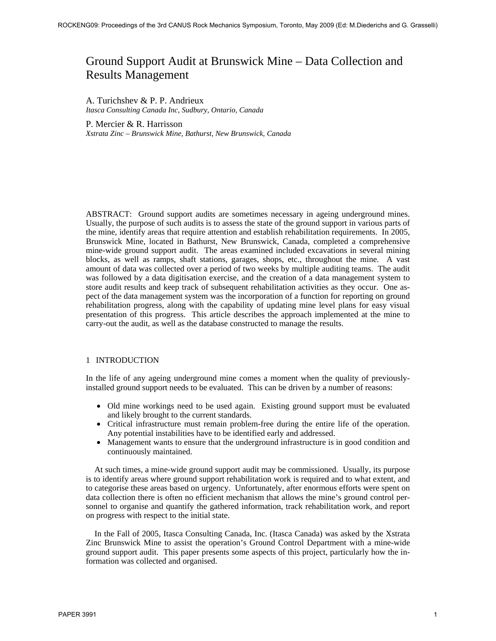# Ground Support Audit at Brunswick Mine – Data Collection and Results Management

A. Turichshev & P. P. Andrieux *Itasca Consulting Canada Inc, Sudbury, Ontario, Canada* 

P. Mercier & R. Harrisson *Xstrata Zinc – Brunswick Mine, Bathurst, New Brunswick, Canada* 

ABSTRACT: Ground support audits are sometimes necessary in ageing underground mines. Usually, the purpose of such audits is to assess the state of the ground support in various parts of the mine, identify areas that require attention and establish rehabilitation requirements. In 2005, Brunswick Mine, located in Bathurst, New Brunswick, Canada, completed a comprehensive mine-wide ground support audit. The areas examined included excavations in several mining blocks, as well as ramps, shaft stations, garages, shops, etc., throughout the mine. A vast amount of data was collected over a period of two weeks by multiple auditing teams. The audit was followed by a data digitisation exercise, and the creation of a data management system to store audit results and keep track of subsequent rehabilitation activities as they occur. One aspect of the data management system was the incorporation of a function for reporting on ground rehabilitation progress, along with the capability of updating mine level plans for easy visual presentation of this progress. This article describes the approach implemented at the mine to carry-out the audit, as well as the database constructed to manage the results.

# 1 INTRODUCTION

In the life of any ageing underground mine comes a moment when the quality of previouslyinstalled ground support needs to be evaluated. This can be driven by a number of reasons:

- Old mine workings need to be used again. Existing ground support must be evaluated and likely brought to the current standards.
- Critical infrastructure must remain problem-free during the entire life of the operation. Any potential instabilities have to be identified early and addressed.
- Management wants to ensure that the underground infrastructure is in good condition and continuously maintained.

At such times, a mine-wide ground support audit may be commissioned. Usually, its purpose is to identify areas where ground support rehabilitation work is required and to what extent, and to categorise these areas based on urgency. Unfortunately, after enormous efforts were spent on data collection there is often no efficient mechanism that allows the mine's ground control personnel to organise and quantify the gathered information, track rehabilitation work, and report on progress with respect to the initial state.

In the Fall of 2005, Itasca Consulting Canada, Inc. (Itasca Canada) was asked by the Xstrata Zinc Brunswick Mine to assist the operation's Ground Control Department with a mine-wide ground support audit. This paper presents some aspects of this project, particularly how the information was collected and organised.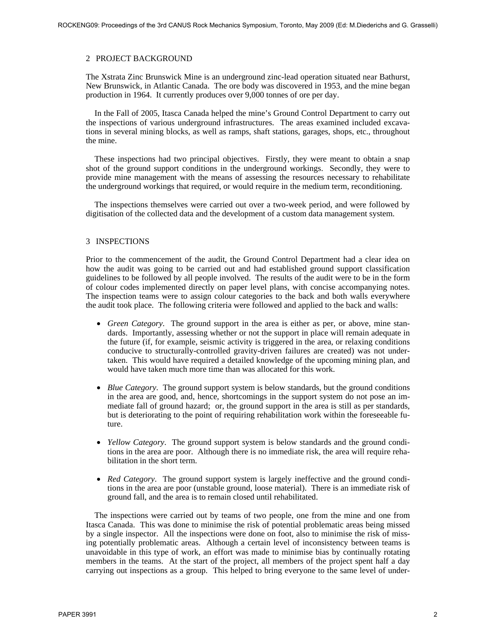### 2 PROJECT BACKGROUND

The Xstrata Zinc Brunswick Mine is an underground zinc-lead operation situated near Bathurst, New Brunswick, in Atlantic Canada. The ore body was discovered in 1953, and the mine began production in 1964. It currently produces over 9,000 tonnes of ore per day.

In the Fall of 2005, Itasca Canada helped the mine's Ground Control Department to carry out the inspections of various underground infrastructures. The areas examined included excavations in several mining blocks, as well as ramps, shaft stations, garages, shops, etc., throughout the mine.

These inspections had two principal objectives. Firstly, they were meant to obtain a snap shot of the ground support conditions in the underground workings. Secondly, they were to provide mine management with the means of assessing the resources necessary to rehabilitate the underground workings that required, or would require in the medium term, reconditioning.

The inspections themselves were carried out over a two-week period, and were followed by digitisation of the collected data and the development of a custom data management system.

# 3 INSPECTIONS

Prior to the commencement of the audit, the Ground Control Department had a clear idea on how the audit was going to be carried out and had established ground support classification guidelines to be followed by all people involved. The results of the audit were to be in the form of colour codes implemented directly on paper level plans, with concise accompanying notes. The inspection teams were to assign colour categories to the back and both walls everywhere the audit took place. The following criteria were followed and applied to the back and walls:

- *Green Category*. The ground support in the area is either as per, or above, mine standards. Importantly, assessing whether or not the support in place will remain adequate in the future (if, for example, seismic activity is triggered in the area, or relaxing conditions conducive to structurally-controlled gravity-driven failures are created) was not undertaken. This would have required a detailed knowledge of the upcoming mining plan, and would have taken much more time than was allocated for this work.
- *Blue Category*. The ground support system is below standards, but the ground conditions in the area are good, and, hence, shortcomings in the support system do not pose an immediate fall of ground hazard; or, the ground support in the area is still as per standards, but is deteriorating to the point of requiring rehabilitation work within the foreseeable future.
- *Yellow Category*. The ground support system is below standards and the ground conditions in the area are poor. Although there is no immediate risk, the area will require rehabilitation in the short term.
- *Red Category*. The ground support system is largely ineffective and the ground conditions in the area are poor (unstable ground, loose material). There is an immediate risk of ground fall, and the area is to remain closed until rehabilitated.

The inspections were carried out by teams of two people, one from the mine and one from Itasca Canada. This was done to minimise the risk of potential problematic areas being missed by a single inspector. All the inspections were done on foot, also to minimise the risk of missing potentially problematic areas. Although a certain level of inconsistency between teams is unavoidable in this type of work, an effort was made to minimise bias by continually rotating members in the teams. At the start of the project, all members of the project spent half a day carrying out inspections as a group. This helped to bring everyone to the same level of under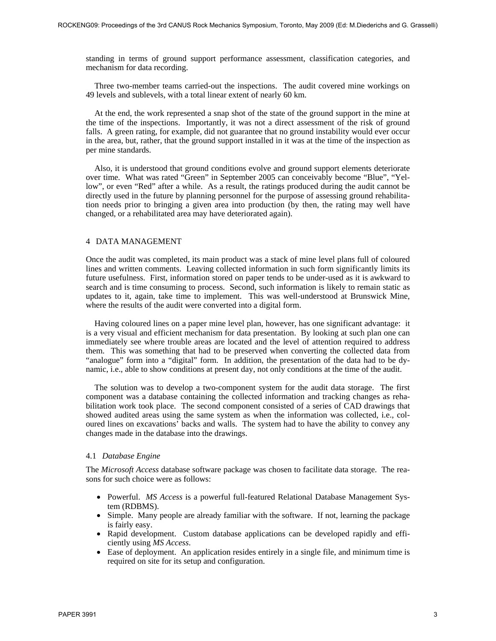standing in terms of ground support performance assessment, classification categories, and mechanism for data recording.

Three two-member teams carried-out the inspections. The audit covered mine workings on 49 levels and sublevels, with a total linear extent of nearly 60 km.

At the end, the work represented a snap shot of the state of the ground support in the mine at the time of the inspections. Importantly, it was not a direct assessment of the risk of ground falls. A green rating, for example, did not guarantee that no ground instability would ever occur in the area, but, rather, that the ground support installed in it was at the time of the inspection as per mine standards.

Also, it is understood that ground conditions evolve and ground support elements deteriorate over time. What was rated "Green" in September 2005 can conceivably become "Blue", "Yellow", or even "Red" after a while. As a result, the ratings produced during the audit cannot be directly used in the future by planning personnel for the purpose of assessing ground rehabilitation needs prior to bringing a given area into production (by then, the rating may well have changed, or a rehabilitated area may have deteriorated again).

#### 4 DATA MANAGEMENT

Once the audit was completed, its main product was a stack of mine level plans full of coloured lines and written comments. Leaving collected information in such form significantly limits its future usefulness. First, information stored on paper tends to be under-used as it is awkward to search and is time consuming to process. Second, such information is likely to remain static as updates to it, again, take time to implement. This was well-understood at Brunswick Mine, where the results of the audit were converted into a digital form.

Having coloured lines on a paper mine level plan, however, has one significant advantage: it is a very visual and efficient mechanism for data presentation. By looking at such plan one can immediately see where trouble areas are located and the level of attention required to address them. This was something that had to be preserved when converting the collected data from "analogue" form into a "digital" form. In addition, the presentation of the data had to be dynamic, i.e., able to show conditions at present day, not only conditions at the time of the audit.

The solution was to develop a two-component system for the audit data storage. The first component was a database containing the collected information and tracking changes as rehabilitation work took place. The second component consisted of a series of CAD drawings that showed audited areas using the same system as when the information was collected, i.e., coloured lines on excavations' backs and walls. The system had to have the ability to convey any changes made in the database into the drawings.

# 4.1 *Database Engine*

The *Microsoft Access* database software package was chosen to facilitate data storage. The reasons for such choice were as follows:

- Powerful. *MS Access* is a powerful full-featured Relational Database Management System (RDBMS).
- Simple. Many people are already familiar with the software. If not, learning the package is fairly easy.
- Rapid development. Custom database applications can be developed rapidly and efficiently using *MS Access*.
- Ease of deployment. An application resides entirely in a single file, and minimum time is required on site for its setup and configuration.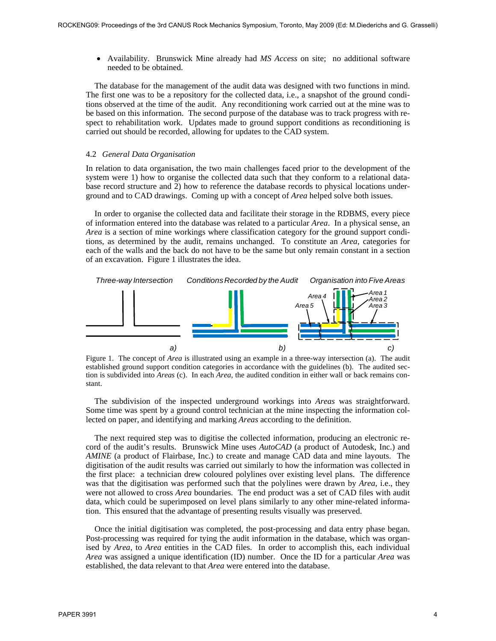• Availability. Brunswick Mine already had *MS Access* on site; no additional software needed to be obtained.

The database for the management of the audit data was designed with two functions in mind. The first one was to be a repository for the collected data, i.e., a snapshot of the ground conditions observed at the time of the audit. Any reconditioning work carried out at the mine was to be based on this information. The second purpose of the database was to track progress with respect to rehabilitation work. Updates made to ground support conditions as reconditioning is carried out should be recorded, allowing for updates to the CAD system.

#### 4.2 *General Data Organisation*

In relation to data organisation, the two main challenges faced prior to the development of the system were 1) how to organise the collected data such that they conform to a relational database record structure and 2) how to reference the database records to physical locations underground and to CAD drawings. Coming up with a concept of *Area* helped solve both issues.

In order to organise the collected data and facilitate their storage in the RDBMS, every piece of information entered into the database was related to a particular *Area*. In a physical sense, an *Area* is a section of mine workings where classification category for the ground support conditions, as determined by the audit, remains unchanged. To constitute an *Area*, categories for each of the walls and the back do not have to be the same but only remain constant in a section of an excavation. Figure 1 illustrates the idea.



Figure 1. The concept of *Area* is illustrated using an example in a three-way intersection (a). The audit established ground support condition categories in accordance with the guidelines (b). The audited section is subdivided into *Areas* (c). In each *Area*, the audited condition in either wall or back remains constant.

The subdivision of the inspected underground workings into *Areas* was straightforward. Some time was spent by a ground control technician at the mine inspecting the information collected on paper, and identifying and marking *Areas* according to the definition.

The next required step was to digitise the collected information, producing an electronic record of the audit's results. Brunswick Mine uses *AutoCAD* (a product of Autodesk, Inc.) and *AMINE* (a product of Flairbase, Inc.) to create and manage CAD data and mine layouts. The digitisation of the audit results was carried out similarly to how the information was collected in the first place: a technician drew coloured polylines over existing level plans. The difference was that the digitisation was performed such that the polylines were drawn by *Area*, i.e., they were not allowed to cross *Area* boundaries. The end product was a set of CAD files with audit data, which could be superimposed on level plans similarly to any other mine-related information. This ensured that the advantage of presenting results visually was preserved.

Once the initial digitisation was completed, the post-processing and data entry phase began. Post-processing was required for tying the audit information in the database, which was organised by *Area*, to *Area* entities in the CAD files. In order to accomplish this, each individual *Area* was assigned a unique identification (ID) number. Once the ID for a particular *Area* was established, the data relevant to that *Area* were entered into the database.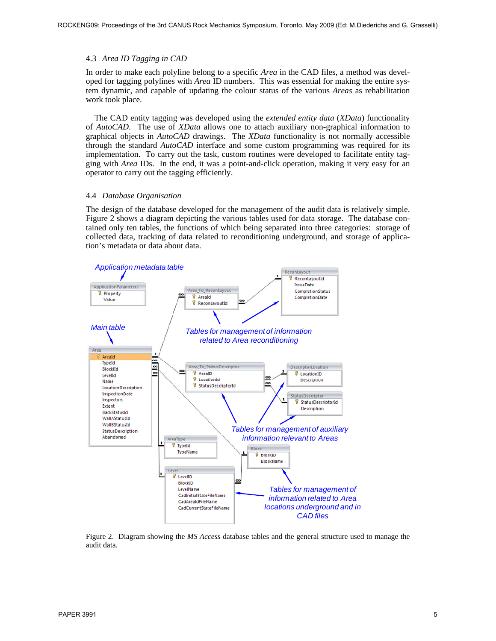# 4.3 *Area ID Tagging in CAD*

In order to make each polyline belong to a specific *Area* in the CAD files, a method was developed for tagging polylines with *Area* ID numbers. This was essential for making the entire system dynamic, and capable of updating the colour status of the various *Areas* as rehabilitation work took place.

The CAD entity tagging was developed using the *extended entity data* (*XData*) functionality of *AutoCAD*. The use of *XData* allows one to attach auxiliary non-graphical information to graphical objects in *AutoCAD* drawings. The *XData* functionality is not normally accessible through the standard *AutoCAD* interface and some custom programming was required for its implementation. To carry out the task, custom routines were developed to facilitate entity tagging with *Area* IDs. In the end, it was a point-and-click operation, making it very easy for an operator to carry out the tagging efficiently.

# 4.4 *Database Organisation*

The design of the database developed for the management of the audit data is relatively simple. Figure 2 shows a diagram depicting the various tables used for data storage. The database contained only ten tables, the functions of which being separated into three categories: storage of collected data, tracking of data related to reconditioning underground, and storage of application's metadata or data about data.



Figure 2. Diagram showing the *MS Access* database tables and the general structure used to manage the audit data.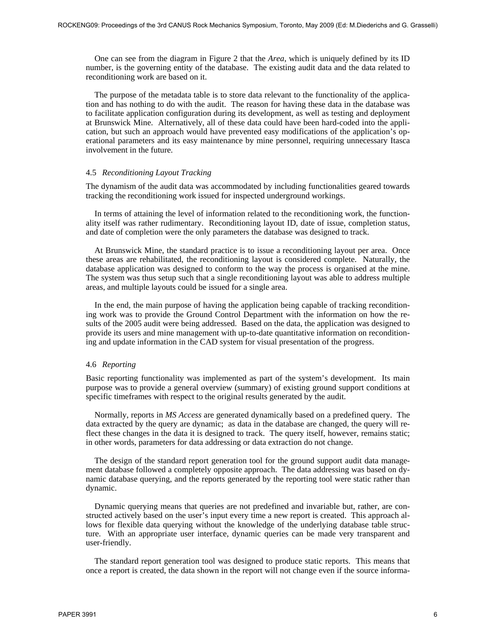One can see from the diagram in Figure 2 that the *Area*, which is uniquely defined by its ID number, is the governing entity of the database. The existing audit data and the data related to reconditioning work are based on it.

The purpose of the metadata table is to store data relevant to the functionality of the application and has nothing to do with the audit. The reason for having these data in the database was to facilitate application configuration during its development, as well as testing and deployment at Brunswick Mine. Alternatively, all of these data could have been hard-coded into the application, but such an approach would have prevented easy modifications of the application's operational parameters and its easy maintenance by mine personnel, requiring unnecessary Itasca involvement in the future.

#### 4.5 *Reconditioning Layout Tracking*

The dynamism of the audit data was accommodated by including functionalities geared towards tracking the reconditioning work issued for inspected underground workings.

In terms of attaining the level of information related to the reconditioning work, the functionality itself was rather rudimentary. Reconditioning layout ID, date of issue, completion status, and date of completion were the only parameters the database was designed to track.

At Brunswick Mine, the standard practice is to issue a reconditioning layout per area. Once these areas are rehabilitated, the reconditioning layout is considered complete. Naturally, the database application was designed to conform to the way the process is organised at the mine. The system was thus setup such that a single reconditioning layout was able to address multiple areas, and multiple layouts could be issued for a single area.

In the end, the main purpose of having the application being capable of tracking reconditioning work was to provide the Ground Control Department with the information on how the results of the 2005 audit were being addressed. Based on the data, the application was designed to provide its users and mine management with up-to-date quantitative information on reconditioning and update information in the CAD system for visual presentation of the progress.

# 4.6 *Reporting*

Basic reporting functionality was implemented as part of the system's development. Its main purpose was to provide a general overview (summary) of existing ground support conditions at specific timeframes with respect to the original results generated by the audit.

Normally, reports in *MS Access* are generated dynamically based on a predefined query. The data extracted by the query are dynamic; as data in the database are changed, the query will reflect these changes in the data it is designed to track. The query itself, however, remains static; in other words, parameters for data addressing or data extraction do not change.

The design of the standard report generation tool for the ground support audit data management database followed a completely opposite approach. The data addressing was based on dynamic database querying, and the reports generated by the reporting tool were static rather than dynamic.

Dynamic querying means that queries are not predefined and invariable but, rather, are constructed actively based on the user's input every time a new report is created. This approach allows for flexible data querying without the knowledge of the underlying database table structure. With an appropriate user interface, dynamic queries can be made very transparent and user-friendly.

The standard report generation tool was designed to produce static reports. This means that once a report is created, the data shown in the report will not change even if the source informa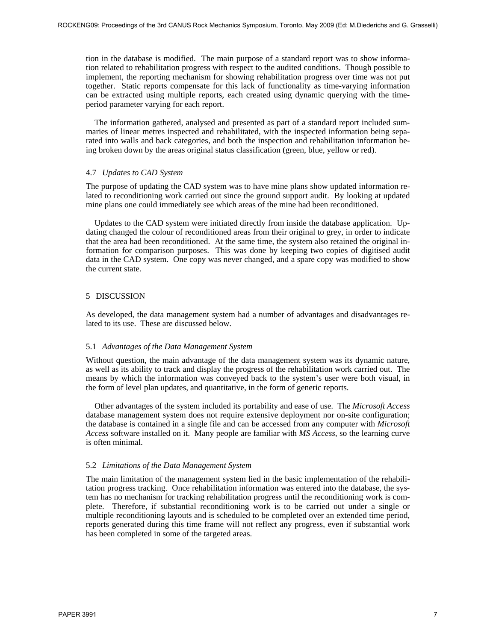tion in the database is modified. The main purpose of a standard report was to show information related to rehabilitation progress with respect to the audited conditions. Though possible to implement, the reporting mechanism for showing rehabilitation progress over time was not put together. Static reports compensate for this lack of functionality as time-varying information can be extracted using multiple reports, each created using dynamic querying with the timeperiod parameter varying for each report.

The information gathered, analysed and presented as part of a standard report included summaries of linear metres inspected and rehabilitated, with the inspected information being separated into walls and back categories, and both the inspection and rehabilitation information being broken down by the areas original status classification (green, blue, yellow or red).

#### 4.7 *Updates to CAD System*

The purpose of updating the CAD system was to have mine plans show updated information related to reconditioning work carried out since the ground support audit. By looking at updated mine plans one could immediately see which areas of the mine had been reconditioned.

Updates to the CAD system were initiated directly from inside the database application. Updating changed the colour of reconditioned areas from their original to grey, in order to indicate that the area had been reconditioned. At the same time, the system also retained the original information for comparison purposes. This was done by keeping two copies of digitised audit data in the CAD system. One copy was never changed, and a spare copy was modified to show the current state.

# 5 DISCUSSION

As developed, the data management system had a number of advantages and disadvantages related to its use. These are discussed below.

# 5.1 *Advantages of the Data Management System*

Without question, the main advantage of the data management system was its dynamic nature, as well as its ability to track and display the progress of the rehabilitation work carried out. The means by which the information was conveyed back to the system's user were both visual, in the form of level plan updates, and quantitative, in the form of generic reports.

Other advantages of the system included its portability and ease of use. The *Microsoft Access* database management system does not require extensive deployment nor on-site configuration; the database is contained in a single file and can be accessed from any computer with *Microsoft Access* software installed on it. Many people are familiar with *MS Access*, so the learning curve is often minimal.

#### 5.2 *Limitations of the Data Management System*

The main limitation of the management system lied in the basic implementation of the rehabilitation progress tracking. Once rehabilitation information was entered into the database, the system has no mechanism for tracking rehabilitation progress until the reconditioning work is complete. Therefore, if substantial reconditioning work is to be carried out under a single or multiple reconditioning layouts and is scheduled to be completed over an extended time period, reports generated during this time frame will not reflect any progress, even if substantial work has been completed in some of the targeted areas.